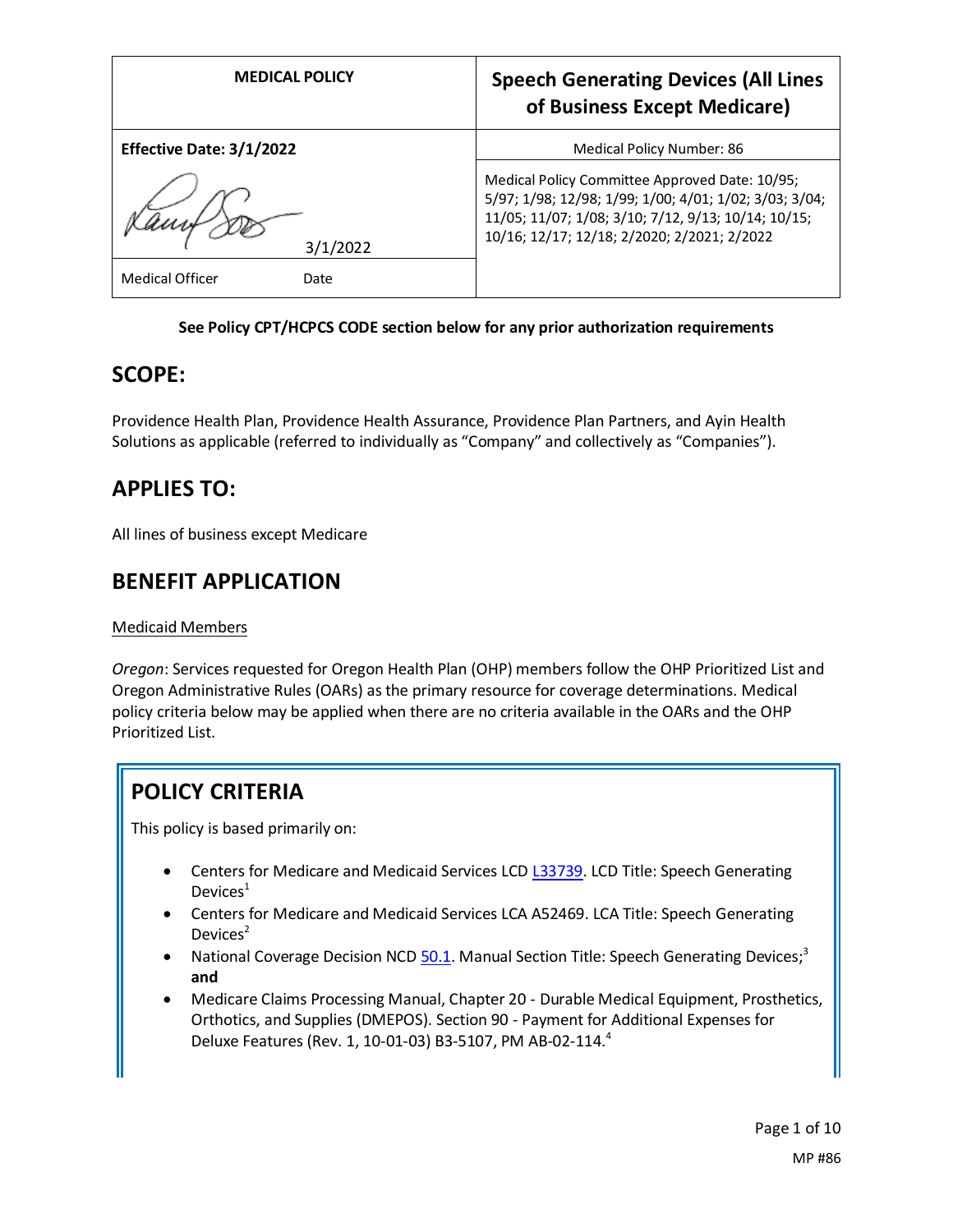| <b>MEDICAL POLICY</b>                      | <b>Speech Generating Devices (All Lines</b><br>of Business Except Medicare)                                                                                                                                    |
|--------------------------------------------|----------------------------------------------------------------------------------------------------------------------------------------------------------------------------------------------------------------|
| Effective Date: 3/1/2022                   | Medical Policy Number: 86                                                                                                                                                                                      |
| 3/1/2022<br><b>Medical Officer</b><br>Date | Medical Policy Committee Approved Date: 10/95;<br>5/97; 1/98; 12/98; 1/99; 1/00; 4/01; 1/02; 3/03; 3/04;<br>11/05; 11/07; 1/08; 3/10; 7/12, 9/13; 10/14; 10/15;<br>10/16; 12/17; 12/18; 2/2020; 2/2021; 2/2022 |

## **See Policy CPT/HCPCS CODE section below for any prior authorization requirements**

## **SCOPE:**

Providence Health Plan, Providence Health Assurance, Providence Plan Partners, and Ayin Health Solutions as applicable (referred to individually as "Company" and collectively as "Companies").

# **APPLIES TO:**

All lines of business except Medicare

## **BENEFIT APPLICATION**

## Medicaid Members

*Oregon*: Services requested for Oregon Health Plan (OHP) members follow the OHP Prioritized List and Oregon Administrative Rules (OARs) as the primary resource for coverage determinations. Medical policy criteria below may be applied when there are no criteria available in the OARs and the OHP Prioritized List.

# **POLICY CRITERIA**

This policy is based primarily on:

- Centers for Medicare and Medicaid Services LCD [L33739.](https://www.cms.gov/medicare-coverage-database/view/lcd.aspx?LCDId=33739) LCD Title: Speech Generating Devices $<sup>1</sup>$ </sup>
- Centers for Medicare and Medicaid Services LCA A52469. LCA Title: Speech Generating Devices $2$
- National Coverage Decision NCD [50.1.](https://www.cms.gov/medicare-coverage-database/view/ncd.aspx?ncdid=274) Manual Section Title: Speech Generating Devices;<sup>3</sup> **and**
- Medicare Claims Processing Manual, Chapter 20 Durable Medical Equipment, Prosthetics, Orthotics, and Supplies (DMEPOS). Section 90 - Payment for Additional Expenses for Deluxe Features (Rev. 1, 10-01-03) B3-5107, PM AB-02-114. 4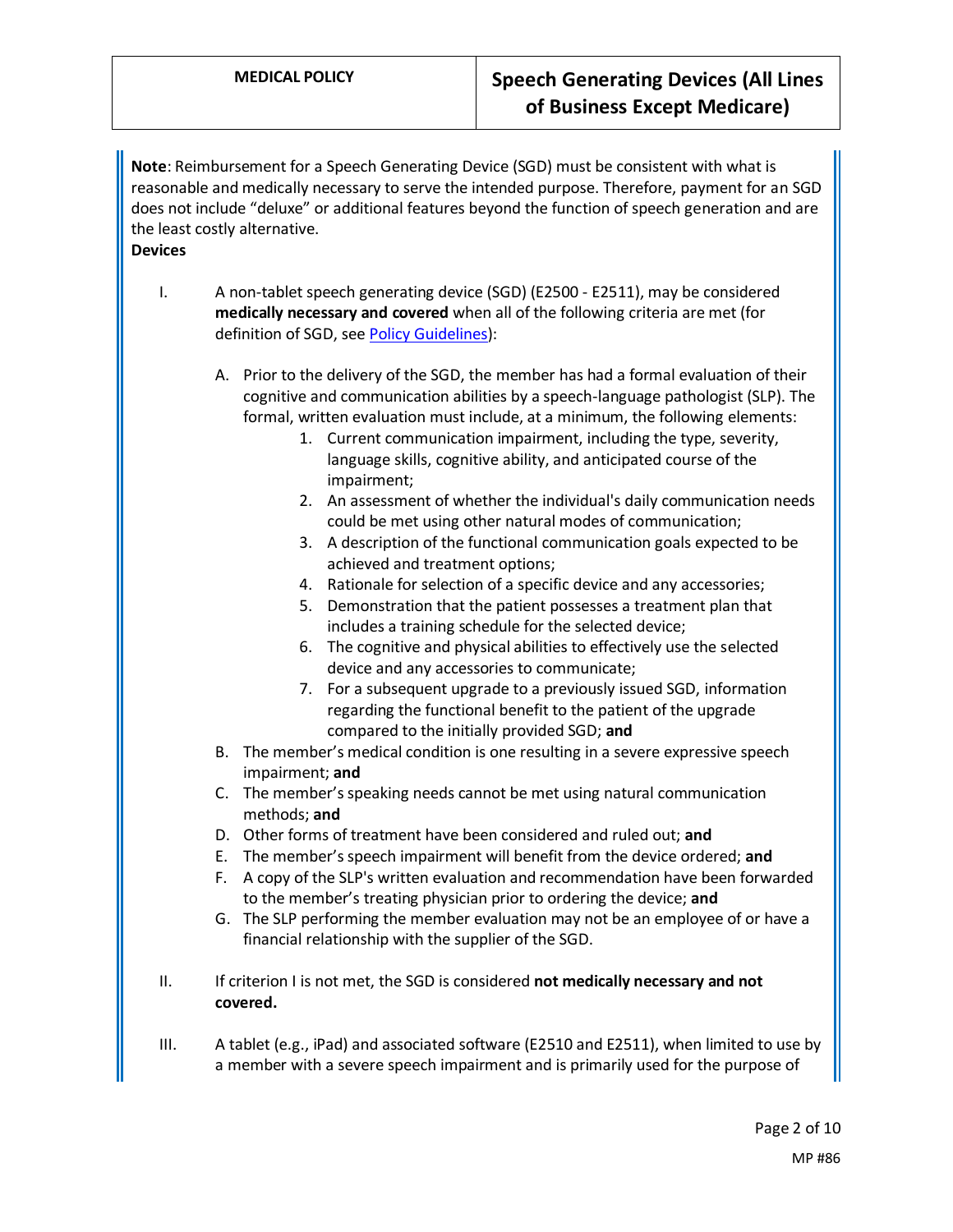**Note**: Reimbursement for a Speech Generating Device (SGD) must be consistent with what is reasonable and medically necessary to serve the intended purpose. Therefore, payment for an SGD does not include "deluxe" or additional features beyond the function of speech generation and are the least costly alternative.

- **Devices**
	- I. A non-tablet speech generating device (SGD) (E2500 E2511), may be considered **medically necessary and covered** when all of the following criteria are met (for definition of SGD, see [Policy Guidelines\)](#page-2-0):
		- A. Prior to the delivery of the SGD, the member has had a formal evaluation of their cognitive and communication abilities by a speech-language pathologist (SLP). The formal, written evaluation must include, at a minimum, the following elements:
			- 1. Current communication impairment, including the type, severity, language skills, cognitive ability, and anticipated course of the impairment;
			- 2. An assessment of whether the individual's daily communication needs could be met using other natural modes of communication;
			- 3. A description of the functional communication goals expected to be achieved and treatment options;
			- 4. Rationale for selection of a specific device and any accessories;
			- 5. Demonstration that the patient possesses a treatment plan that includes a training schedule for the selected device;
			- 6. The cognitive and physical abilities to effectively use the selected device and any accessories to communicate;
			- 7. For a subsequent upgrade to a previously issued SGD, information regarding the functional benefit to the patient of the upgrade compared to the initially provided SGD; **and**
		- B. The member's medical condition is one resulting in a severe expressive speech impairment; **and**
		- C. The member's speaking needs cannot be met using natural communication methods; **and**
		- D. Other forms of treatment have been considered and ruled out; **and**
		- E. The member's speech impairment will benefit from the device ordered; **and**
		- F. A copy of the SLP's written evaluation and recommendation have been forwarded to the member's treating physician prior to ordering the device; **and**
		- G. The SLP performing the member evaluation may not be an employee of or have a financial relationship with the supplier of the SGD.
	- II. If criterion I is not met, the SGD is considered **not medically necessary and not covered.**
	- III. A tablet (e.g., iPad) and associated software (E2510 and E2511), when limited to use by a member with a severe speech impairment and is primarily used for the purpose of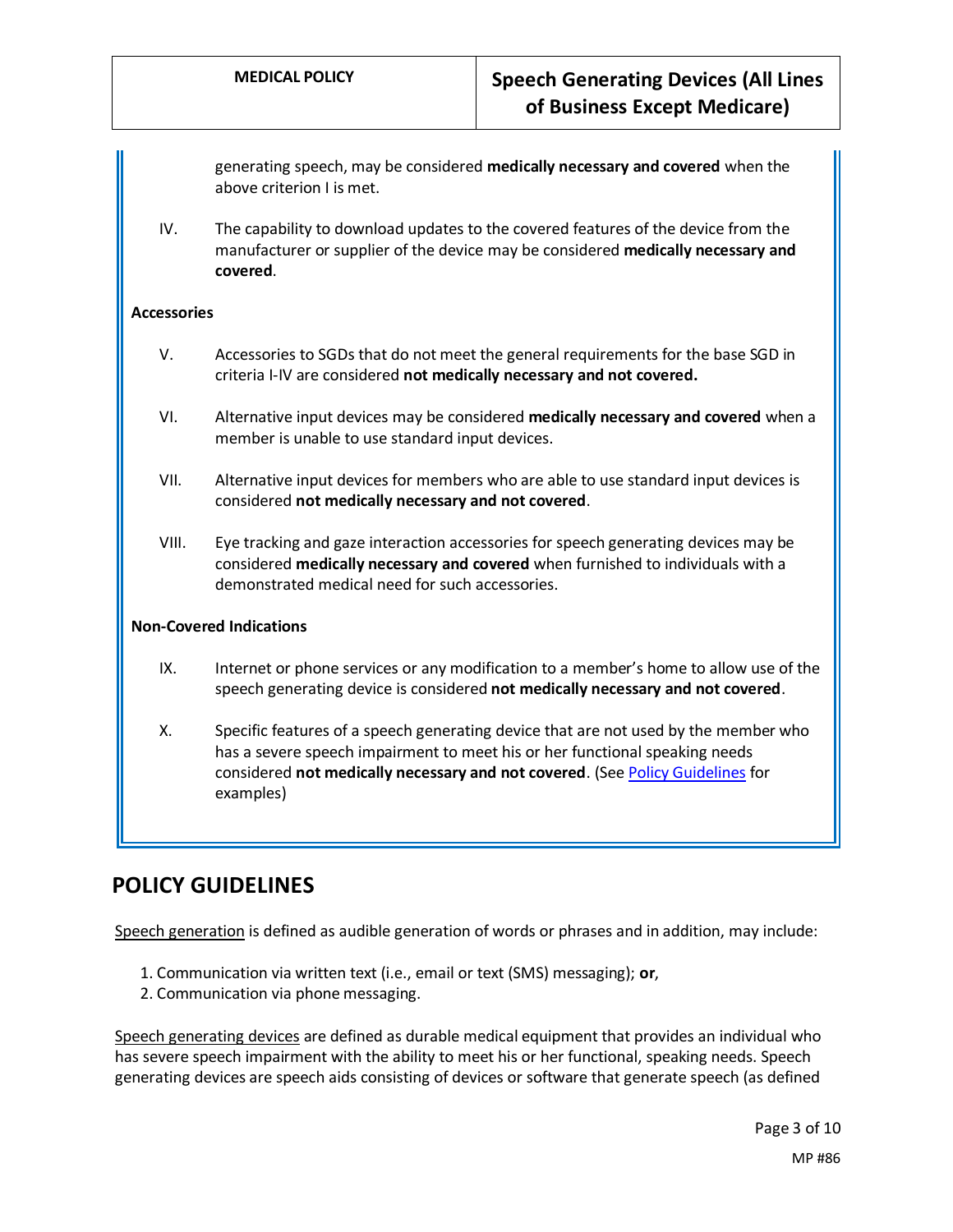generating speech, may be considered **medically necessary and covered** when the above criterion I is met.

IV. The capability to download updates to the covered features of the device from the manufacturer or supplier of the device may be considered **medically necessary and covered**.

#### **Accessories**

- V. Accessories to SGDs that do not meet the general requirements for the base SGD in criteria I-IV are considered **not medically necessary and not covered.**
- VI. Alternative input devices may be considered **medically necessary and covered** when a member is unable to use standard input devices.
- VII. Alternative input devices for members who are able to use standard input devices is considered **not medically necessary and not covered**.
- VIII. Eye tracking and gaze interaction accessories for speech generating devices may be considered **medically necessary and covered** when furnished to individuals with a demonstrated medical need for such accessories.

#### **Non-Covered Indications**

- IX. Internet or phone services or any modification to a member's home to allow use of the speech generating device is considered **not medically necessary and not covered**.
- X. Specific features of a speech generating device that are not used by the member who has a severe speech impairment to meet his or her functional speaking needs considered **not medically necessary and not covered**. (Se[e Policy Guidelines](#page-3-0) for examples)

## **POLICY GUIDELINES**

Speech generation is defined as audible generation of words or phrases and in addition, may include:

- 1. Communication via written text (i.e., email or text (SMS) messaging); **or**,
- 2. Communication via phone messaging.

<span id="page-2-0"></span>Speech generating devices are defined as durable medical equipment that provides an individual who has severe speech impairment with the ability to meet his or her functional, speaking needs. Speech generating devices are speech aids consisting of devices or software that generate speech (as defined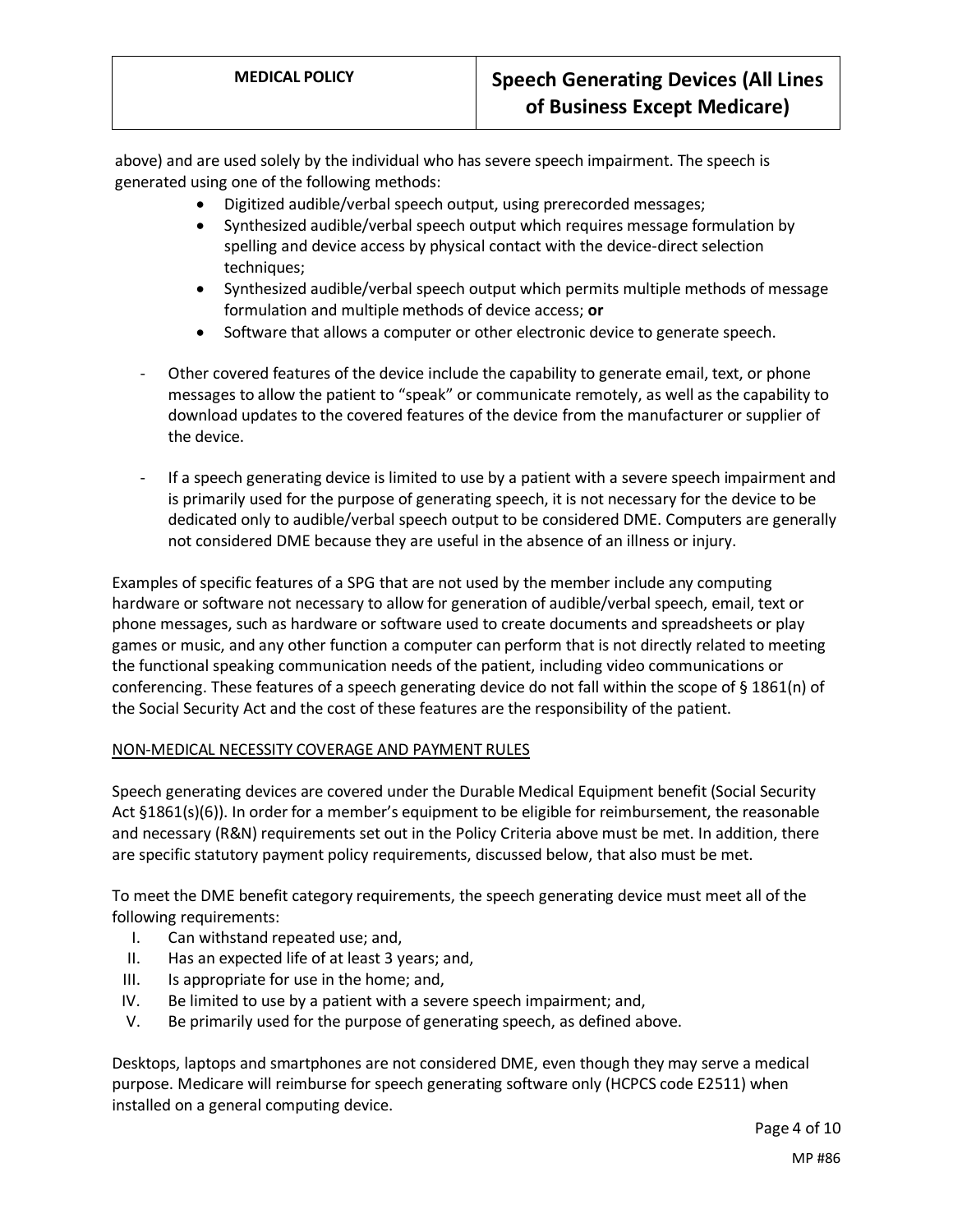above) and are used solely by the individual who has severe speech impairment. The speech is generated using one of the following methods:

- Digitized audible/verbal speech output, using prerecorded messages;
- Synthesized audible/verbal speech output which requires message formulation by spelling and device access by physical contact with the device-direct selection techniques;
- Synthesized audible/verbal speech output which permits multiple methods of message formulation and multiple methods of device access; **or**
- Software that allows a computer or other electronic device to generate speech.
- Other covered features of the device include the capability to generate email, text, or phone messages to allow the patient to "speak" or communicate remotely, as well as the capability to download updates to the covered features of the device from the manufacturer or supplier of the device.
- If a speech generating device is limited to use by a patient with a severe speech impairment and is primarily used for the purpose of generating speech, it is not necessary for the device to be dedicated only to audible/verbal speech output to be considered DME. Computers are generally not considered DME because they are useful in the absence of an illness or injury.

<span id="page-3-0"></span>Examples of specific features of a SPG that are not used by the member include any computing hardware or software not necessary to allow for generation of audible/verbal speech, email, text or phone messages, such as hardware or software used to create documents and spreadsheets or play games or music, and any other function a computer can perform that is not directly related to meeting the functional speaking communication needs of the patient, including video communications or conferencing. These features of a speech generating device do not fall within the scope of § 1861(n) of the Social Security Act and the cost of these features are the responsibility of the patient.

#### NON-MEDICAL NECESSITY COVERAGE AND PAYMENT RULES

Speech generating devices are covered under the Durable Medical Equipment benefit (Social Security Act §1861(s)(6)). In order for a member's equipment to be eligible for reimbursement, the reasonable and necessary (R&N) requirements set out in the Policy Criteria above must be met. In addition, there are specific statutory payment policy requirements, discussed below, that also must be met.

To meet the DME benefit category requirements, the speech generating device must meet all of the following requirements:

- I. Can withstand repeated use; and,
- II. Has an expected life of at least 3 years; and,
- III. Is appropriate for use in the home; and,
- IV. Be limited to use by a patient with a severe speech impairment; and,
- V. Be primarily used for the purpose of generating speech, as defined above.

Desktops, laptops and smartphones are not considered DME, even though they may serve a medical purpose. Medicare will reimburse for speech generating software only (HCPCS code E2511) when installed on a general computing device.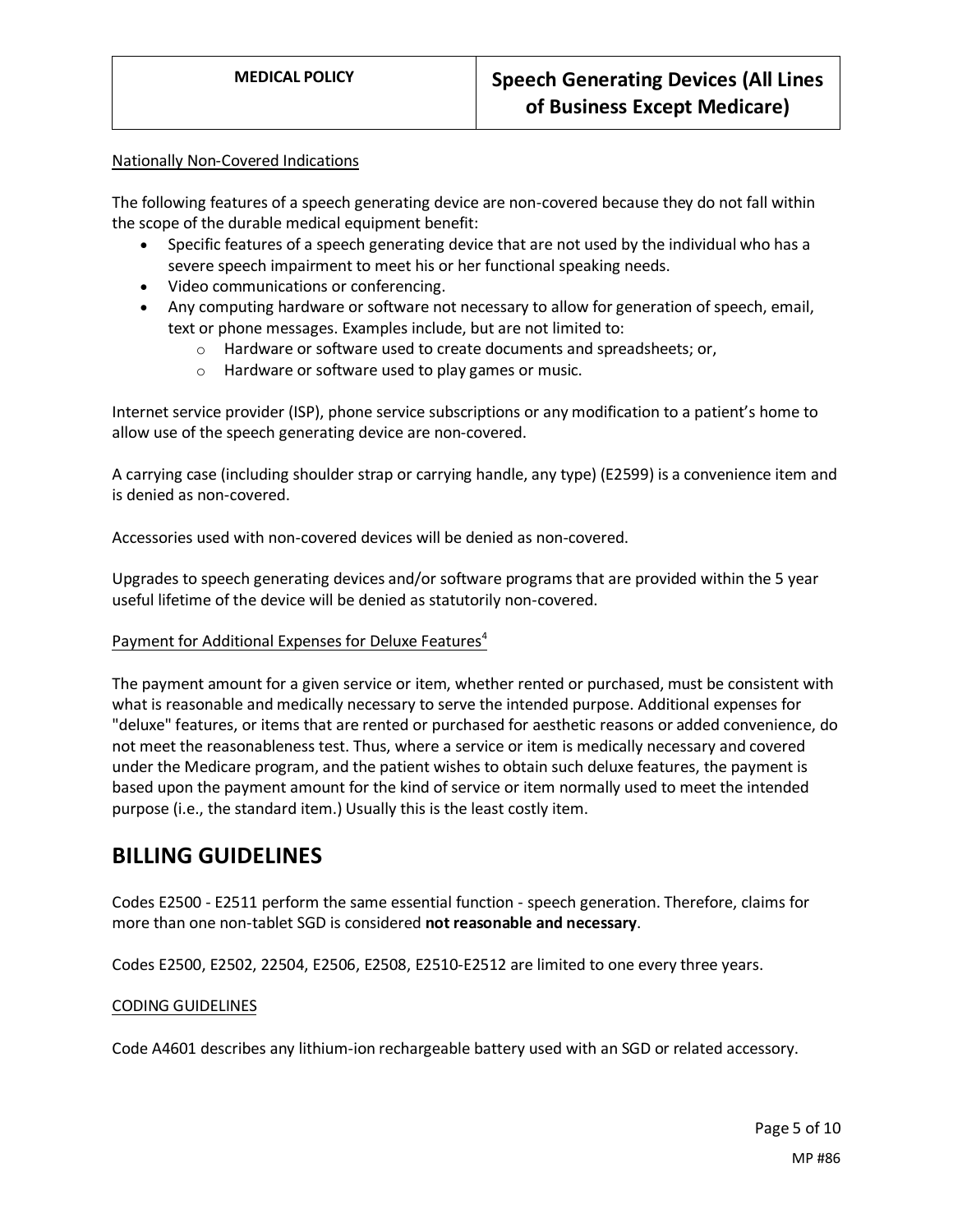#### Nationally Non-Covered Indications

The following features of a speech generating device are non-covered because they do not fall within the scope of the durable medical equipment benefit:

- Specific features of a speech generating device that are not used by the individual who has a severe speech impairment to meet his or her functional speaking needs.
- Video communications or conferencing.
- Any computing hardware or software not necessary to allow for generation of speech, email, text or phone messages. Examples include, but are not limited to:
	- o Hardware or software used to create documents and spreadsheets; or,
	- o Hardware or software used to play games or music.

Internet service provider (ISP), phone service subscriptions or any modification to a patient's home to allow use of the speech generating device are non-covered.

A carrying case (including shoulder strap or carrying handle, any type) (E2599) is a convenience item and is denied as non-covered.

Accessories used with non-covered devices will be denied as non-covered.

Upgrades to speech generating devices and/or software programs that are provided within the 5 year useful lifetime of the device will be denied as statutorily non-covered.

## Payment for Additional Expenses for Deluxe Features<sup>4</sup>

The payment amount for a given service or item, whether rented or purchased, must be consistent with what is reasonable and medically necessary to serve the intended purpose. Additional expenses for "deluxe" features, or items that are rented or purchased for aesthetic reasons or added convenience, do not meet the reasonableness test. Thus, where a service or item is medically necessary and covered under the Medicare program, and the patient wishes to obtain such deluxe features, the payment is based upon the payment amount for the kind of service or item normally used to meet the intended purpose (i.e., the standard item.) Usually this is the least costly item.

## **BILLING GUIDELINES**

Codes E2500 - E2511 perform the same essential function - speech generation. Therefore, claims for more than one non-tablet SGD is considered **not reasonable and necessary**.

Codes E2500, E2502, 22504, E2506, E2508, E2510-E2512 are limited to one every three years.

## CODING GUIDELINES

Code A4601 describes any lithium-ion rechargeable battery used with an SGD or related accessory.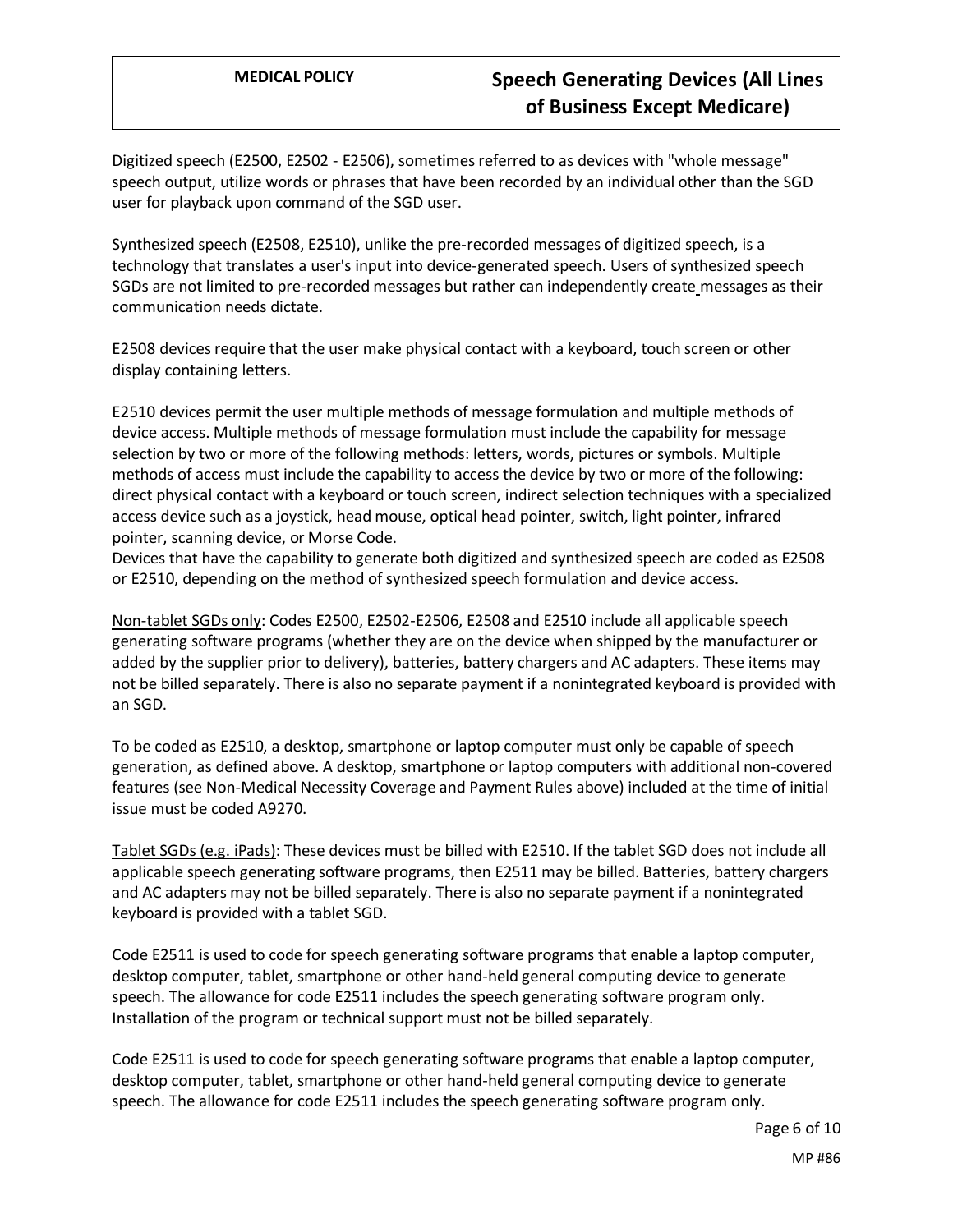Digitized speech (E2500, E2502 - E2506), sometimes referred to as devices with "whole message" speech output, utilize words or phrases that have been recorded by an individual other than the SGD user for playback upon command of the SGD user.

Synthesized speech (E2508, E2510), unlike the pre-recorded messages of digitized speech, is a technology that translates a user's input into device-generated speech. Users of synthesized speech SGDs are not limited to pre-recorded messages but rather can independently create messages as their communication needs dictate.

E2508 devices require that the user make physical contact with a keyboard, touch screen or other display containing letters.

E2510 devices permit the user multiple methods of message formulation and multiple methods of device access. Multiple methods of message formulation must include the capability for message selection by two or more of the following methods: letters, words, pictures or symbols. Multiple methods of access must include the capability to access the device by two or more of the following: direct physical contact with a keyboard or touch screen, indirect selection techniques with a specialized access device such as a joystick, head mouse, optical head pointer, switch, light pointer, infrared pointer, scanning device, or Morse Code.

Devices that have the capability to generate both digitized and synthesized speech are coded as E2508 or E2510, depending on the method of synthesized speech formulation and device access.

Non-tablet SGDs only: Codes E2500, E2502-E2506, E2508 and E2510 include all applicable speech generating software programs (whether they are on the device when shipped by the manufacturer or added by the supplier prior to delivery), batteries, battery chargers and AC adapters. These items may not be billed separately. There is also no separate payment if a nonintegrated keyboard is provided with an SGD.

To be coded as E2510, a desktop, smartphone or laptop computer must only be capable of speech generation, as defined above. A desktop, smartphone or laptop computers with additional non-covered features (see Non-Medical Necessity Coverage and Payment Rules above) included at the time of initial issue must be coded A9270.

Tablet SGDs (e.g. iPads): These devices must be billed with E2510. If the tablet SGD does not include all applicable speech generating software programs, then E2511 may be billed. Batteries, battery chargers and AC adapters may not be billed separately. There is also no separate payment if a nonintegrated keyboard is provided with a tablet SGD.

Code E2511 is used to code for speech generating software programs that enable a laptop computer, desktop computer, tablet, smartphone or other hand-held general computing device to generate speech. The allowance for code E2511 includes the speech generating software program only. Installation of the program or technical support must not be billed separately.

Code E2511 is used to code for speech generating software programs that enable a laptop computer, desktop computer, tablet, smartphone or other hand-held general computing device to generate speech. The allowance for code E2511 includes the speech generating software program only.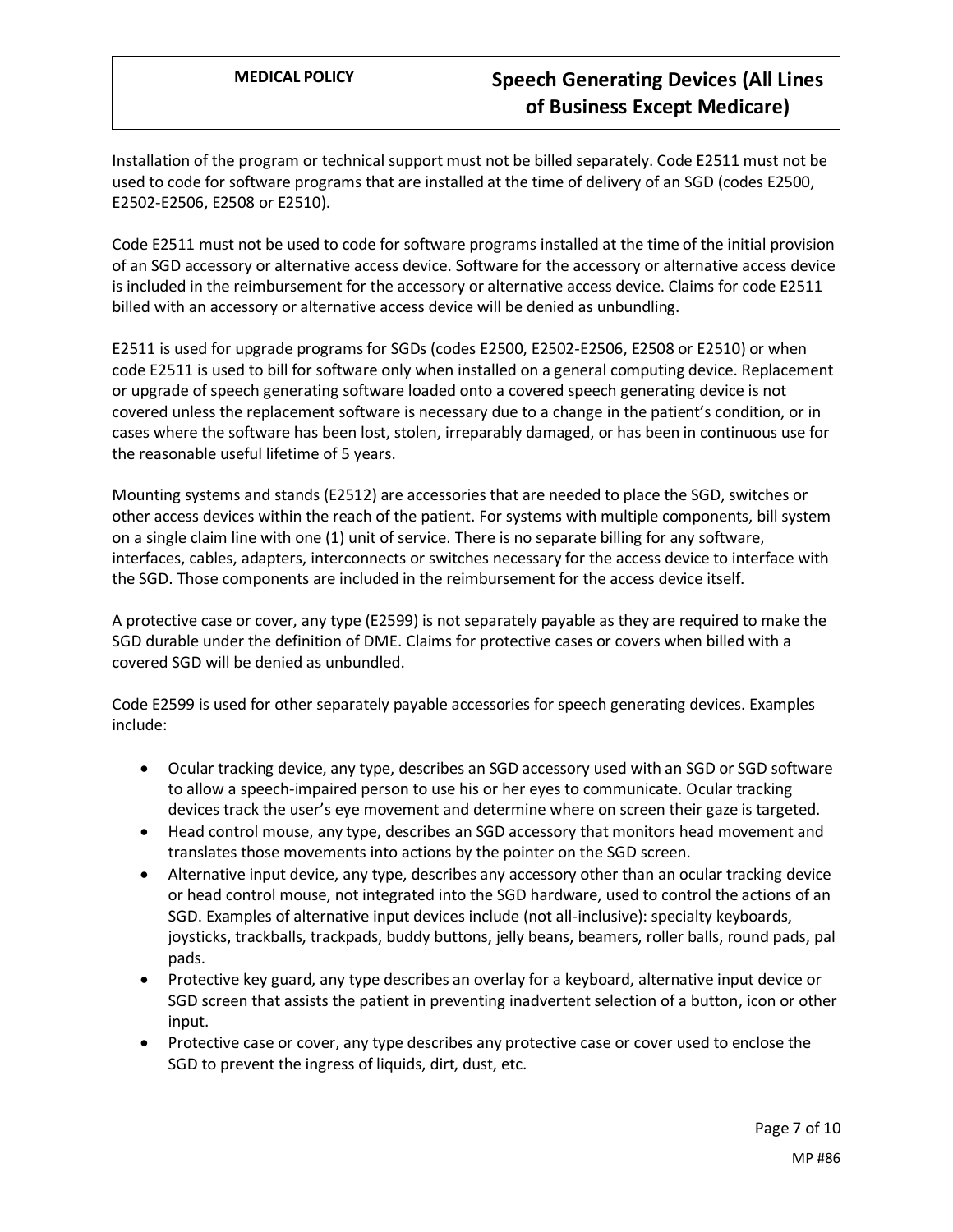Installation of the program or technical support must not be billed separately. Code E2511 must not be used to code for software programs that are installed at the time of delivery of an SGD (codes E2500, E2502-E2506, E2508 or E2510).

Code E2511 must not be used to code for software programs installed at the time of the initial provision of an SGD accessory or alternative access device. Software for the accessory or alternative access device is included in the reimbursement for the accessory or alternative access device. Claims for code E2511 billed with an accessory or alternative access device will be denied as unbundling.

E2511 is used for upgrade programs for SGDs (codes E2500, E2502-E2506, E2508 or E2510) or when code E2511 is used to bill for software only when installed on a general computing device. Replacement or upgrade of speech generating software loaded onto a covered speech generating device is not covered unless the replacement software is necessary due to a change in the patient's condition, or in cases where the software has been lost, stolen, irreparably damaged, or has been in continuous use for the reasonable useful lifetime of 5 years.

Mounting systems and stands (E2512) are accessories that are needed to place the SGD, switches or other access devices within the reach of the patient. For systems with multiple components, bill system on a single claim line with one (1) unit of service. There is no separate billing for any software, interfaces, cables, adapters, interconnects or switches necessary for the access device to interface with the SGD. Those components are included in the reimbursement for the access device itself.

A protective case or cover, any type (E2599) is not separately payable as they are required to make the SGD durable under the definition of DME. Claims for protective cases or covers when billed with a covered SGD will be denied as unbundled.

Code E2599 is used for other separately payable accessories for speech generating devices. Examples include:

- Ocular tracking device, any type, describes an SGD accessory used with an SGD or SGD software to allow a speech-impaired person to use his or her eyes to communicate. Ocular tracking devices track the user's eye movement and determine where on screen their gaze is targeted.
- Head control mouse, any type, describes an SGD accessory that monitors head movement and translates those movements into actions by the pointer on the SGD screen.
- Alternative input device, any type, describes any accessory other than an ocular tracking device or head control mouse, not integrated into the SGD hardware, used to control the actions of an SGD. Examples of alternative input devices include (not all-inclusive): specialty keyboards, joysticks, trackballs, trackpads, buddy buttons, jelly beans, beamers, roller balls, round pads, pal pads.
- Protective key guard, any type describes an overlay for a keyboard, alternative input device or SGD screen that assists the patient in preventing inadvertent selection of a button, icon or other input.
- Protective case or cover, any type describes any protective case or cover used to enclose the SGD to prevent the ingress of liquids, dirt, dust, etc.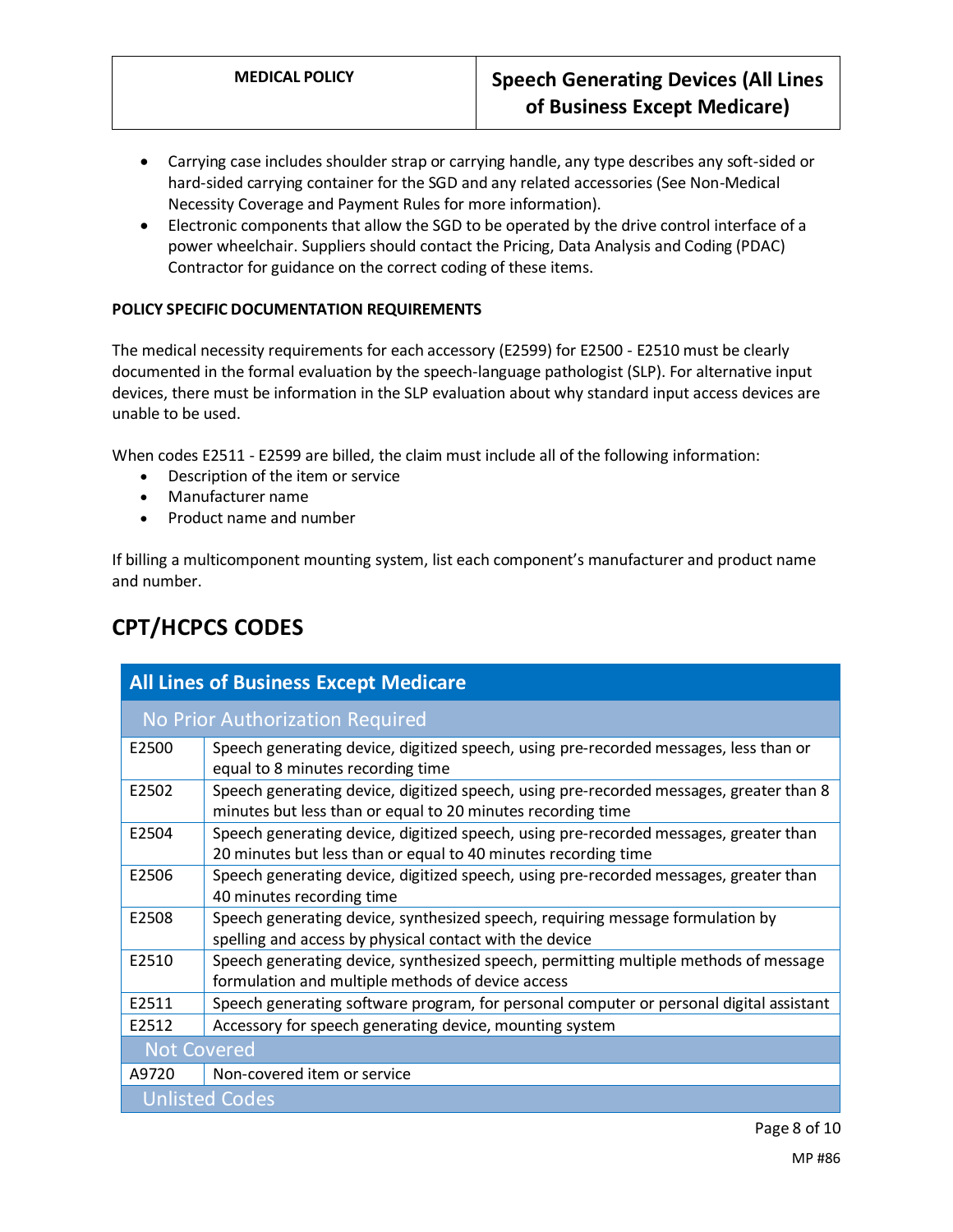- Carrying case includes shoulder strap or carrying handle, any type describes any soft-sided or hard-sided carrying container for the SGD and any related accessories (See Non-Medical Necessity Coverage and Payment Rules for more information).
- Electronic components that allow the SGD to be operated by the drive control interface of a power wheelchair. Suppliers should contact the Pricing, Data Analysis and Coding (PDAC) Contractor for guidance on the correct coding of these items.

## **POLICY SPECIFIC DOCUMENTATION REQUIREMENTS**

The medical necessity requirements for each accessory (E2599) for E2500 - E2510 must be clearly documented in the formal evaluation by the speech-language pathologist (SLP). For alternative input devices, there must be information in the SLP evaluation about why standard input access devices are unable to be used.

When codes E2511 - E2599 are billed, the claim must include all of the following information:

- Description of the item or service
- Manufacturer name
- Product name and number

If billing a multicomponent mounting system, list each component's manufacturer and product name and number.

| <b>All Lines of Business Except Medicare</b> |                                                                                                                                                         |
|----------------------------------------------|---------------------------------------------------------------------------------------------------------------------------------------------------------|
| No Prior Authorization Required              |                                                                                                                                                         |
| E2500                                        | Speech generating device, digitized speech, using pre-recorded messages, less than or<br>equal to 8 minutes recording time                              |
| E2502                                        | Speech generating device, digitized speech, using pre-recorded messages, greater than 8<br>minutes but less than or equal to 20 minutes recording time  |
| E2504                                        | Speech generating device, digitized speech, using pre-recorded messages, greater than<br>20 minutes but less than or equal to 40 minutes recording time |
| E2506                                        | Speech generating device, digitized speech, using pre-recorded messages, greater than<br>40 minutes recording time                                      |
| E2508                                        | Speech generating device, synthesized speech, requiring message formulation by<br>spelling and access by physical contact with the device               |
| E2510                                        | Speech generating device, synthesized speech, permitting multiple methods of message<br>formulation and multiple methods of device access               |
| E2511                                        | Speech generating software program, for personal computer or personal digital assistant                                                                 |
| E2512                                        | Accessory for speech generating device, mounting system                                                                                                 |
| <b>Not Covered</b>                           |                                                                                                                                                         |
| A9720                                        | Non-covered item or service                                                                                                                             |
| <b>Unlisted Codes</b>                        |                                                                                                                                                         |

# **CPT/HCPCS CODES**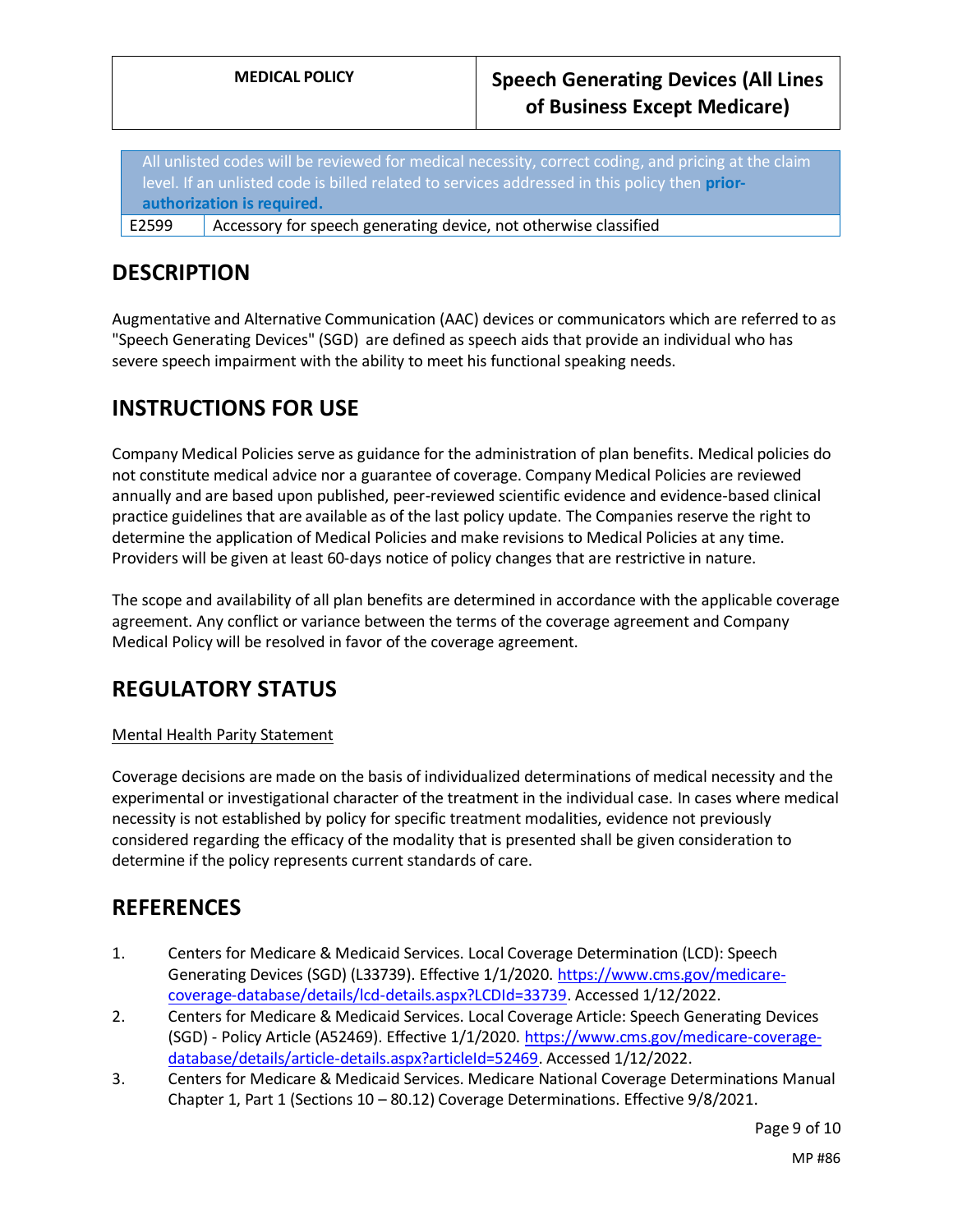All unlisted codes will be reviewed for medical necessity, correct coding, and pricing at the claim level. If an unlisted code is billed related to services addressed in this policy then **priorauthorization is required.**

E2599 Accessory for speech generating device, not otherwise classified

# **DESCRIPTION**

Augmentative and Alternative Communication (AAC) devices or communicators which are referred to as "Speech Generating Devices" (SGD) are defined as speech aids that provide an individual who has severe speech impairment with the ability to meet his functional speaking needs.

# **INSTRUCTIONS FOR USE**

Company Medical Policies serve as guidance for the administration of plan benefits. Medical policies do not constitute medical advice nor a guarantee of coverage. Company Medical Policies are reviewed annually and are based upon published, peer-reviewed scientific evidence and evidence-based clinical practice guidelines that are available as of the last policy update. The Companies reserve the right to determine the application of Medical Policies and make revisions to Medical Policies at any time. Providers will be given at least 60-days notice of policy changes that are restrictive in nature.

The scope and availability of all plan benefits are determined in accordance with the applicable coverage agreement. Any conflict or variance between the terms of the coverage agreement and Company Medical Policy will be resolved in favor of the coverage agreement.

# **REGULATORY STATUS**

## Mental Health Parity Statement

Coverage decisions are made on the basis of individualized determinations of medical necessity and the experimental or investigational character of the treatment in the individual case. In cases where medical necessity is not established by policy for specific treatment modalities, evidence not previously considered regarding the efficacy of the modality that is presented shall be given consideration to determine if the policy represents current standards of care.

## **REFERENCES**

- 1. Centers for Medicare & Medicaid Services. Local Coverage Determination (LCD): Speech Generating Devices (SGD) (L33739). Effective 1/1/2020. [https://www.cms.gov/medicare](https://www.cms.gov/medicare-coverage-database/details/lcd-details.aspx?LCDId=33739)[coverage-database/details/lcd-details.aspx?LCDId=33739.](https://www.cms.gov/medicare-coverage-database/details/lcd-details.aspx?LCDId=33739) Accessed 1/12/2022.
- 2. Centers for Medicare & Medicaid Services. Local Coverage Article: Speech Generating Devices (SGD) - Policy Article (A52469). Effective 1/1/2020[. https://www.cms.gov/medicare-coverage](https://www.cms.gov/medicare-coverage-database/details/article-details.aspx?articleId=52469)[database/details/article-details.aspx?articleId=52469.](https://www.cms.gov/medicare-coverage-database/details/article-details.aspx?articleId=52469) Accessed 1/12/2022.
- 3. Centers for Medicare & Medicaid Services. Medicare National Coverage Determinations Manual Chapter 1, Part 1 (Sections 10 – 80.12) Coverage Determinations. Effective 9/8/2021.